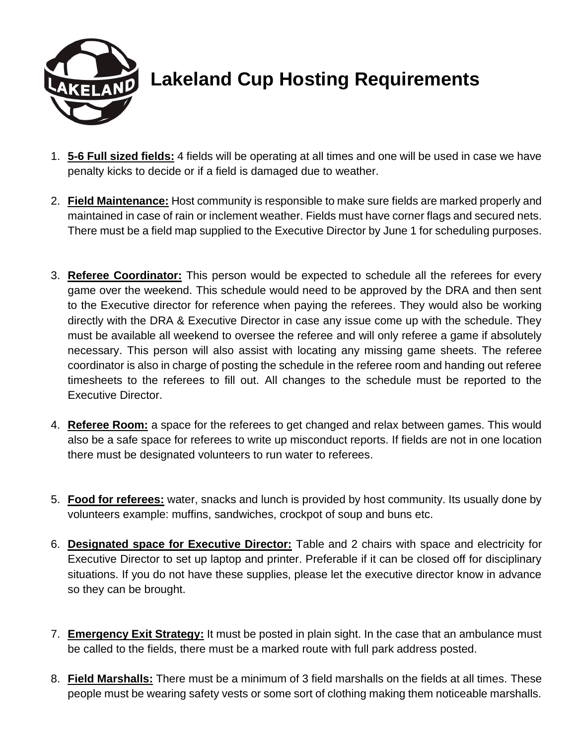

## **Lakeland Cup Hosting Requirements**

- 1. **5-6 Full sized fields:** 4 fields will be operating at all times and one will be used in case we have penalty kicks to decide or if a field is damaged due to weather.
- 2. **Field Maintenance:** Host community is responsible to make sure fields are marked properly and maintained in case of rain or inclement weather. Fields must have corner flags and secured nets. There must be a field map supplied to the Executive Director by June 1 for scheduling purposes.
- 3. **Referee Coordinator:** This person would be expected to schedule all the referees for every game over the weekend. This schedule would need to be approved by the DRA and then sent to the Executive director for reference when paying the referees. They would also be working directly with the DRA & Executive Director in case any issue come up with the schedule. They must be available all weekend to oversee the referee and will only referee a game if absolutely necessary. This person will also assist with locating any missing game sheets. The referee coordinator is also in charge of posting the schedule in the referee room and handing out referee timesheets to the referees to fill out. All changes to the schedule must be reported to the Executive Director.
- 4. **Referee Room:** a space for the referees to get changed and relax between games. This would also be a safe space for referees to write up misconduct reports. If fields are not in one location there must be designated volunteers to run water to referees.
- 5. **Food for referees:** water, snacks and lunch is provided by host community. Its usually done by volunteers example: muffins, sandwiches, crockpot of soup and buns etc.
- 6. **Designated space for Executive Director:** Table and 2 chairs with space and electricity for Executive Director to set up laptop and printer. Preferable if it can be closed off for disciplinary situations. If you do not have these supplies, please let the executive director know in advance so they can be brought.
- 7. **Emergency Exit Strategy:** It must be posted in plain sight. In the case that an ambulance must be called to the fields, there must be a marked route with full park address posted.
- 8. **Field Marshalls:** There must be a minimum of 3 field marshalls on the fields at all times. These people must be wearing safety vests or some sort of clothing making them noticeable marshalls.